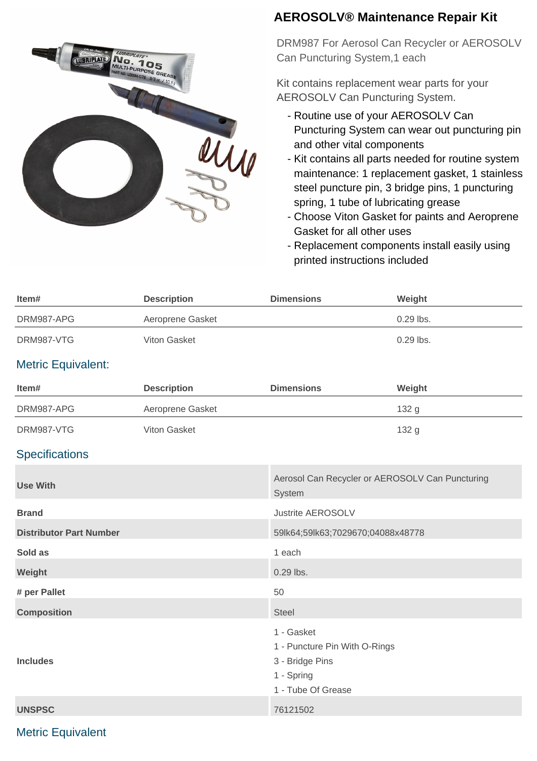

## **AEROSOLV® Maintenance Repair Kit**

DRM987 For Aerosol Can Recycler or AEROSOLV Can Puncturing System,1 each

Kit contains replacement wear parts for your AEROSOLV Can Puncturing System.

- Routine use of your AEROSOLV Can Puncturing System can wear out puncturing pin and other vital components
- Kit contains all parts needed for routine system maintenance: 1 replacement gasket, 1 stainless steel puncture pin, 3 bridge pins, 1 puncturing spring, 1 tube of lubricating grease
- Choose Viton Gasket for paints and Aeroprene Gasket for all other uses
- Replacement components install easily using printed instructions included

| Item#                          | <b>Description</b> | <b>Dimensions</b>                                                                                  | Weight                                          |  |
|--------------------------------|--------------------|----------------------------------------------------------------------------------------------------|-------------------------------------------------|--|
| DRM987-APG                     | Aeroprene Gasket   |                                                                                                    | 0.29 lbs.                                       |  |
| DRM987-VTG                     | Viton Gasket       |                                                                                                    | 0.29 lbs.                                       |  |
| <b>Metric Equivalent:</b>      |                    |                                                                                                    |                                                 |  |
| Item#                          | <b>Description</b> | <b>Dimensions</b>                                                                                  | Weight                                          |  |
| DRM987-APG                     | Aeroprene Gasket   |                                                                                                    | 132 g                                           |  |
| DRM987-VTG                     | Viton Gasket       |                                                                                                    | 132 g                                           |  |
| <b>Specifications</b>          |                    |                                                                                                    |                                                 |  |
| <b>Use With</b>                |                    | System                                                                                             | Aerosol Can Recycler or AEROSOLV Can Puncturing |  |
| <b>Brand</b>                   |                    | <b>Justrite AEROSOLV</b>                                                                           |                                                 |  |
| <b>Distributor Part Number</b> |                    |                                                                                                    | 59lk64;59lk63;7029670;04088x48778               |  |
| Sold as                        |                    | 1 each                                                                                             |                                                 |  |
| Weight                         |                    | 0.29 lbs.                                                                                          |                                                 |  |
| # per Pallet                   |                    | 50                                                                                                 |                                                 |  |
| <b>Composition</b>             |                    | <b>Steel</b>                                                                                       |                                                 |  |
| <b>Includes</b>                |                    | 1 - Gasket<br>1 - Puncture Pin With O-Rings<br>3 - Bridge Pins<br>1 - Spring<br>1 - Tube Of Grease |                                                 |  |
| <b>UNSPSC</b>                  |                    | 76121502                                                                                           |                                                 |  |

## Metric Equivalent